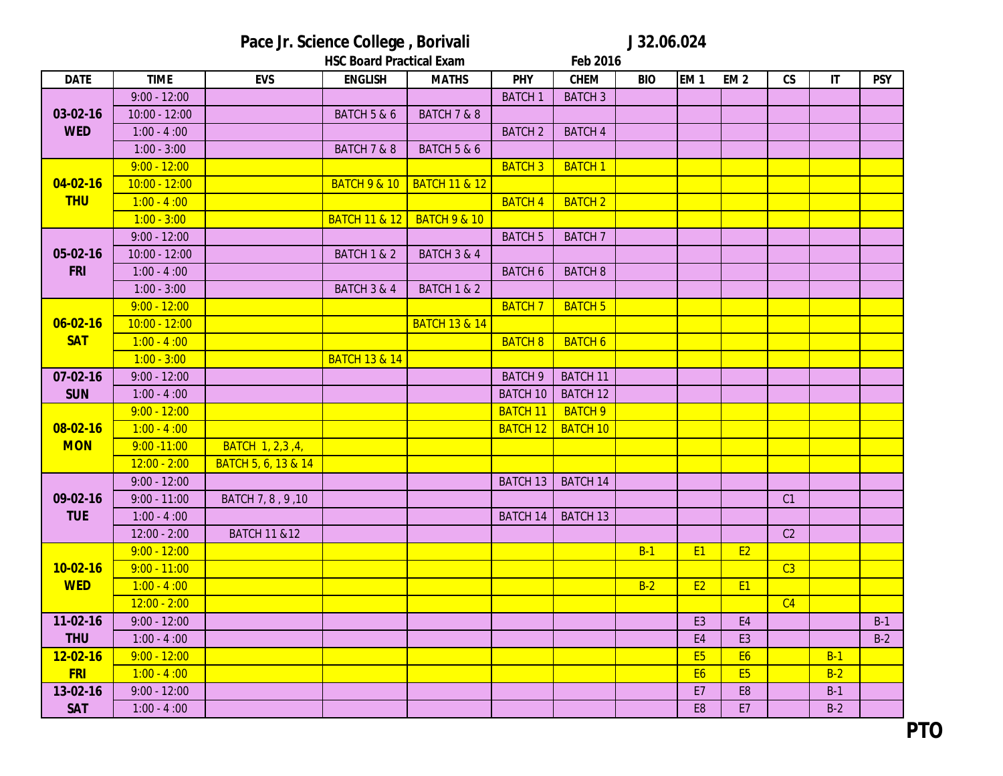Pace Jr. Science College, Borivali J 32.06.024

|                |                 |                         | <b>HSC Board Practical Exam</b><br>Feb 2016 |                          |                 |                 |            |                |                 |                          |                        |            |
|----------------|-----------------|-------------------------|---------------------------------------------|--------------------------|-----------------|-----------------|------------|----------------|-----------------|--------------------------|------------------------|------------|
| <b>DATE</b>    | <b>TIME</b>     | <b>EVS</b>              | <b>ENGLISH</b>                              | <b>MATHS</b>             | <b>PHY</b>      | <b>CHEM</b>     | <b>BIO</b> | <b>EM1</b>     | EM <sub>2</sub> | $\mathsf{CS}\phantom{0}$ | $\mathsf{I}\mathsf{T}$ | <b>PSY</b> |
|                | $9:00 - 12:00$  |                         |                                             |                          | <b>BATCH1</b>   | <b>BATCH 3</b>  |            |                |                 |                          |                        |            |
| $03-02-16$     | $10:00 - 12:00$ |                         | <b>BATCH 5 &amp; 6</b>                      | <b>BATCH 7 &amp; 8</b>   |                 |                 |            |                |                 |                          |                        |            |
| <b>WED</b>     | $1:00 - 4:00$   |                         |                                             |                          | <b>BATCH 2</b>  | <b>BATCH 4</b>  |            |                |                 |                          |                        |            |
|                | $1:00 - 3:00$   |                         | BATCH 7 & 8                                 | BATCH 5 & 6              |                 |                 |            |                |                 |                          |                        |            |
|                | $9:00 - 12:00$  |                         |                                             |                          | <b>BATCH 3</b>  | <b>BATCH1</b>   |            |                |                 |                          |                        |            |
| $04 - 02 - 16$ | $10:00 - 12:00$ |                         | <b>BATCH 9 &amp; 10</b>                     | <b>BATCH 11 &amp; 12</b> |                 |                 |            |                |                 |                          |                        |            |
| <b>THU</b>     | $1:00 - 4:00$   |                         |                                             |                          | <b>BATCH 4</b>  | <b>BATCH 2</b>  |            |                |                 |                          |                        |            |
|                | $1:00 - 3:00$   |                         | <b>BATCH 11 &amp; 12</b>                    | <b>BATCH 9 &amp; 10</b>  |                 |                 |            |                |                 |                          |                        |            |
|                | $9:00 - 12:00$  |                         |                                             |                          | <b>BATCH 5</b>  | <b>BATCH 7</b>  |            |                |                 |                          |                        |            |
| 05-02-16       | $10:00 - 12:00$ |                         | <b>BATCH 1 &amp; 2</b>                      | <b>BATCH 3 &amp; 4</b>   |                 |                 |            |                |                 |                          |                        |            |
| <b>FRI</b>     | $1:00 - 4:00$   |                         |                                             |                          | <b>BATCH 6</b>  | <b>BATCH 8</b>  |            |                |                 |                          |                        |            |
|                | $1:00 - 3:00$   |                         | <b>BATCH 3 &amp; 4</b>                      | <b>BATCH 1 &amp; 2</b>   |                 |                 |            |                |                 |                          |                        |            |
|                | $9:00 - 12:00$  |                         |                                             |                          | <b>BATCH 7</b>  | <b>BATCH 5</b>  |            |                |                 |                          |                        |            |
| $06 - 02 - 16$ | $10:00 - 12:00$ |                         |                                             | <b>BATCH 13 &amp; 14</b> |                 |                 |            |                |                 |                          |                        |            |
| <b>SAT</b>     | $1:00 - 4:00$   |                         |                                             |                          | <b>BATCH 8</b>  | <b>BATCH 6</b>  |            |                |                 |                          |                        |            |
|                | $1:00 - 3:00$   |                         | <b>BATCH 13 &amp; 14</b>                    |                          |                 |                 |            |                |                 |                          |                        |            |
| $07 - 02 - 16$ | $9:00 - 12:00$  |                         |                                             |                          | <b>BATCH 9</b>  | <b>BATCH 11</b> |            |                |                 |                          |                        |            |
| <b>SUN</b>     | $1:00 - 4:00$   |                         |                                             |                          | <b>BATCH 10</b> | <b>BATCH 12</b> |            |                |                 |                          |                        |            |
|                | $9:00 - 12:00$  |                         |                                             |                          | <b>BATCH 11</b> | <b>BATCH 9</b>  |            |                |                 |                          |                        |            |
| $08 - 02 - 16$ | $1:00 - 4:00$   |                         |                                             |                          | <b>BATCH 12</b> | <b>BATCH 10</b> |            |                |                 |                          |                        |            |
| <b>MON</b>     | $9:00 - 11:00$  | BATCH 1, 2,3,4,         |                                             |                          |                 |                 |            |                |                 |                          |                        |            |
|                | $12:00 - 2:00$  | BATCH 5, 6, 13 & 14     |                                             |                          |                 |                 |            |                |                 |                          |                        |            |
|                | $9:00 - 12:00$  |                         |                                             |                          | <b>BATCH 13</b> | <b>BATCH 14</b> |            |                |                 |                          |                        |            |
| 09-02-16       | $9:00 - 11:00$  | BATCH 7, 8, 9, 10       |                                             |                          |                 |                 |            |                |                 | C1                       |                        |            |
| <b>TUE</b>     | $1:00 - 4:00$   |                         |                                             |                          | <b>BATCH 14</b> | <b>BATCH 13</b> |            |                |                 |                          |                        |            |
|                | $12:00 - 2:00$  | <b>BATCH 11 &amp;12</b> |                                             |                          |                 |                 |            |                |                 | C2                       |                        |            |
|                | $9:00 - 12:00$  |                         |                                             |                          |                 |                 | $B-1$      | <b>E1</b>      | <b>E2</b>       |                          |                        |            |
| $10-02-16$     | $9:00 - 11:00$  |                         |                                             |                          |                 |                 |            |                |                 | $\overline{C3}$          |                        |            |
| <b>WED</b>     | $1:00 - 4:00$   |                         |                                             |                          |                 |                 | $B-2$      | E2             | <b>E1</b>       |                          |                        |            |
|                | $12:00 - 2:00$  |                         |                                             |                          |                 |                 |            |                |                 | C <sub>4</sub>           |                        |            |
| 11-02-16       | $9:00 - 12:00$  |                         |                                             |                          |                 |                 |            | E <sub>3</sub> | E4              |                          |                        | $B-1$      |
| <b>THU</b>     | $1:00 - 4:00$   |                         |                                             |                          |                 |                 |            | E <sub>4</sub> | E <sub>3</sub>  |                          |                        | $B-2$      |
| $12 - 02 - 16$ | $9:00 - 12:00$  |                         |                                             |                          |                 |                 |            | <b>E5</b>      | <b>E6</b>       |                          | $B-1$                  |            |
| <b>FRI</b>     | $1:00 - 4:00$   |                         |                                             |                          |                 |                 |            | <b>E6</b>      | E <sub>5</sub>  |                          | $B-2$                  |            |
| 13-02-16       | $9:00 - 12:00$  |                         |                                             |                          |                 |                 |            | E7             | E <sub>8</sub>  |                          | $B-1$                  |            |
| <b>SAT</b>     | $1:00 - 4:00$   |                         |                                             |                          |                 |                 |            | E <sub>8</sub> | E7              |                          | $B-2$                  |            |